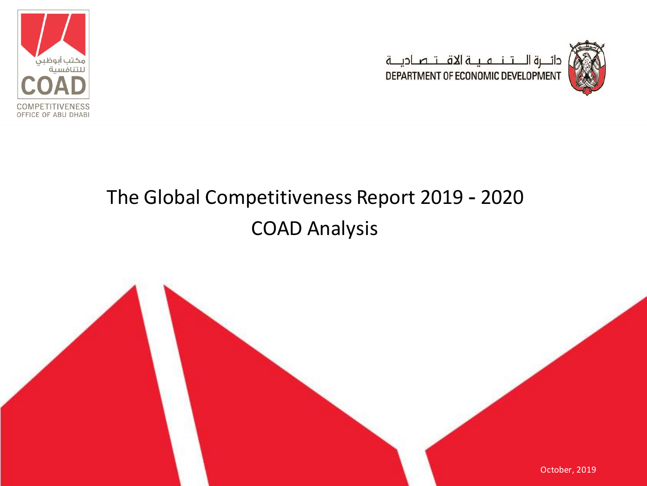



# The Global Competitiveness Report 2019 - 2020 COAD Analysis

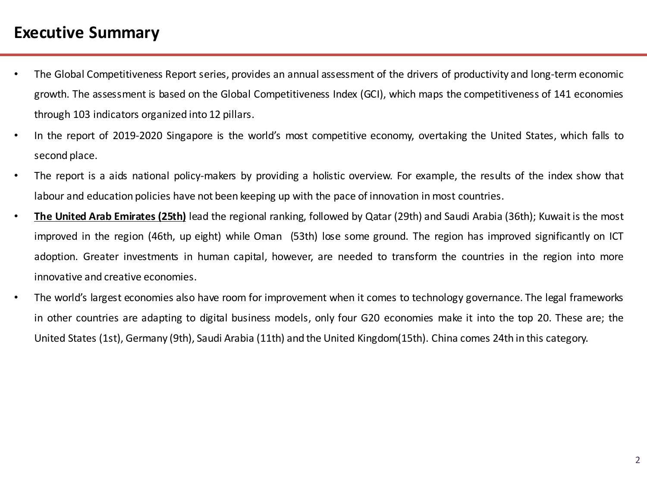### **Executive Summary**

- The Global Competitiveness Report series, provides an annual assessment of the drivers of productivity and long-term economic growth. The assessment is based on the Global Competitiveness Index (GCI), which maps the competitiveness of 141 economies through 103 indicators organized into 12 pillars.
- In the report of 2019-2020 Singapore is the world's most competitive economy, overtaking the United States, which falls to second place.
- The report is a aids national policy-makers by providing a holistic overview. For example, the results of the index show that labour and education policies have not been keeping up with the pace of innovation in most countries.
- **The United Arab Emirates (25th)** lead the regional ranking, followed by Qatar (29th) and Saudi Arabia (36th); Kuwaitis the most improved in the region (46th, up eight) while Oman (53th) lose some ground. The region has improved significantly on ICT adoption. Greater investments in human capital, however, are needed to transform the countries in the region into more innovative and creative economies.
- The world's largest economies also have room for improvement when it comes to technology governance. The legal frameworks in other countries are adapting to digital business models, only four G20 economies make it into the top 20. These are; the United States (1st), Germany (9th), Saudi Arabia (11th) and the United Kingdom(15th). China comes 24th in this category.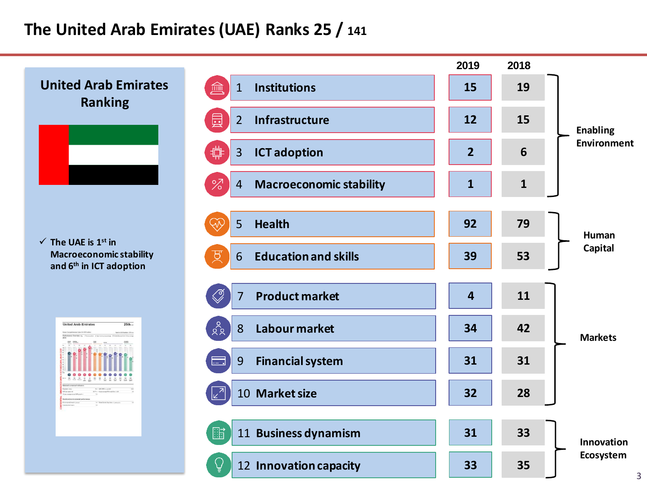# **The United Arab Emirates (UAE) Ranks 25 / 141**

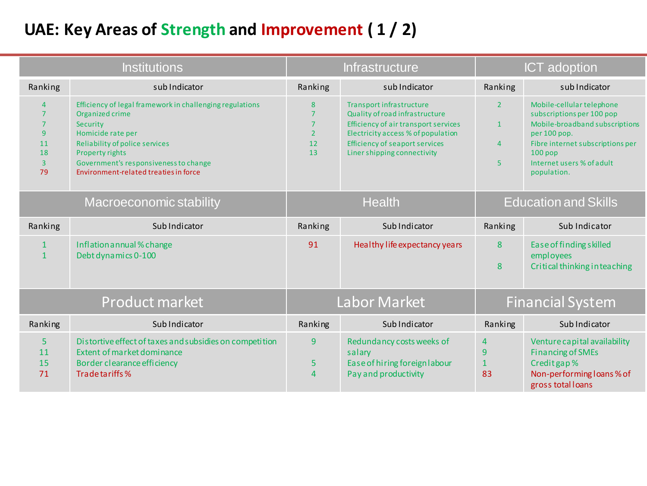# **UAE: Key Areas of Strength and Improvement ( 1 / 2)**

| <b>Institutions</b>                                                                         |                                                                                                                                                                                                                                                            | <b>Infrastructure</b>                                               |                                                                                                                                                                                                                  | <b>ICT</b> adoption                                   |                                                                                                                                                                                                       |
|---------------------------------------------------------------------------------------------|------------------------------------------------------------------------------------------------------------------------------------------------------------------------------------------------------------------------------------------------------------|---------------------------------------------------------------------|------------------------------------------------------------------------------------------------------------------------------------------------------------------------------------------------------------------|-------------------------------------------------------|-------------------------------------------------------------------------------------------------------------------------------------------------------------------------------------------------------|
| Ranking                                                                                     | sub Indicator                                                                                                                                                                                                                                              | Ranking                                                             | sub Indicator                                                                                                                                                                                                    | Ranking                                               | sub Indicator                                                                                                                                                                                         |
| $\overline{4}$<br>$\overline{7}$<br>$\overline{7}$<br>9<br>11<br>18<br>$\overline{3}$<br>79 | Efficiency of legal framework in challenging regulations<br>Organized crime<br>Security<br>Homicide rate per<br><b>Reliability of police services</b><br>Property rights<br>Government's responsiveness to change<br>Environment-related treaties in force | 8<br>$\overline{7}$<br>$\overline{7}$<br>$\overline{2}$<br>12<br>13 | Transport infrastructure<br>Quality of road infrastructure<br>Efficiency of air transport services<br>Electricity access % of population<br><b>Efficiency of seaport services</b><br>Liner shipping connectivity | $\overline{2}$<br>$\mathbf{1}$<br>$\overline{4}$<br>5 | Mobile-cellular telephone<br>subscriptions per 100 pop<br>Mobile-broadband subscriptions<br>per 100 pop.<br>Fibre internet subscriptions per<br>$100$ pop<br>Internet users % of adult<br>population. |
| Macroeconomic stability                                                                     |                                                                                                                                                                                                                                                            | <b>Health</b>                                                       |                                                                                                                                                                                                                  | <b>Education and Skills</b>                           |                                                                                                                                                                                                       |
| Ranking                                                                                     | Sub Indicator                                                                                                                                                                                                                                              | Ranking                                                             | Sub Indicator                                                                                                                                                                                                    | Ranking                                               | Sub Indicator                                                                                                                                                                                         |
| $\mathbf{1}$<br>$\mathbf{1}$                                                                | Inflation annual % change<br>Debt dynamics 0-100                                                                                                                                                                                                           | 91                                                                  | Healthy life expectancy years                                                                                                                                                                                    | 8<br>8                                                | Ease of finding skilled<br>employees<br>Critical thinking in teaching                                                                                                                                 |
| Product market                                                                              |                                                                                                                                                                                                                                                            | Labor Market                                                        |                                                                                                                                                                                                                  | <b>Financial System</b>                               |                                                                                                                                                                                                       |
| Ranking                                                                                     | Sub Indicator                                                                                                                                                                                                                                              | Ranking                                                             | Sub Indicator                                                                                                                                                                                                    | Ranking                                               | Sub Indicator                                                                                                                                                                                         |
| 5<br>11<br>15<br>71                                                                         | Distortive effect of taxes and subsidies on competition<br>Extent of market dominance<br>Border clearance efficiency<br>Trade tariffs %                                                                                                                    | 9<br>5<br>$\overline{4}$                                            | Redundancy costs weeks of<br>salary<br>Ease of hiring foreign labour<br>Pay and productivity                                                                                                                     | 4<br>9<br>$\mathbf{1}$<br>83                          | Venture capital availability<br><b>Financing of SMEs</b><br>Credit gap %<br>Non-performing loans % of<br>gross total loans                                                                            |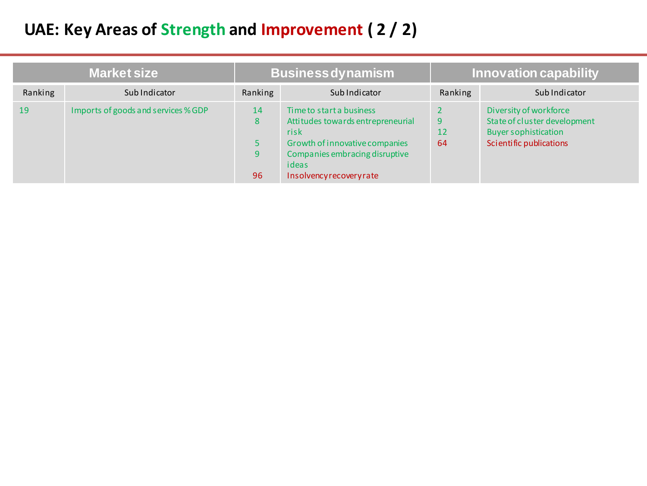# **UAE: Key Areas of Strength and Improvement ( 2 / 2)**

| <b>Market size</b> |                                     | <b>Business dynamism</b> |                                                                                                                                                                              | Innovation capability |                                                                                                                  |  |
|--------------------|-------------------------------------|--------------------------|------------------------------------------------------------------------------------------------------------------------------------------------------------------------------|-----------------------|------------------------------------------------------------------------------------------------------------------|--|
| Ranking            | Sub Indicator                       | Ranking                  | Sub Indicator                                                                                                                                                                | Ranking               | Sub Indicator                                                                                                    |  |
| 19                 | Imports of goods and services % GDP | 14<br>8<br>9<br>96       | Time to start a business<br>Attitudes towards entrepreneurial<br>risk<br>Growth of innovative companies<br>Companies embracing disruptive<br>ideas<br>Insolvencyrecoveryrate | 9<br>12<br>64         | Diversity of workforce<br>State of cluster development<br><b>Buyer sophistication</b><br>Scientific publications |  |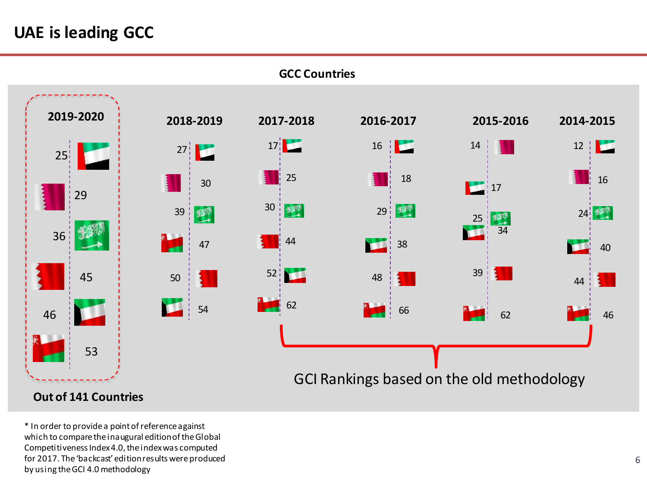# **UAE is leading GCC**



**GCC Countries**

#### **Out of 141 Countries**

\* In order to provide a point of reference against which to compare the inaugural edition of the Global Competitiveness Index 4.0, the index was computed for 2017. The 'backcast' edition results were produced by using the GCI 4.0 methodology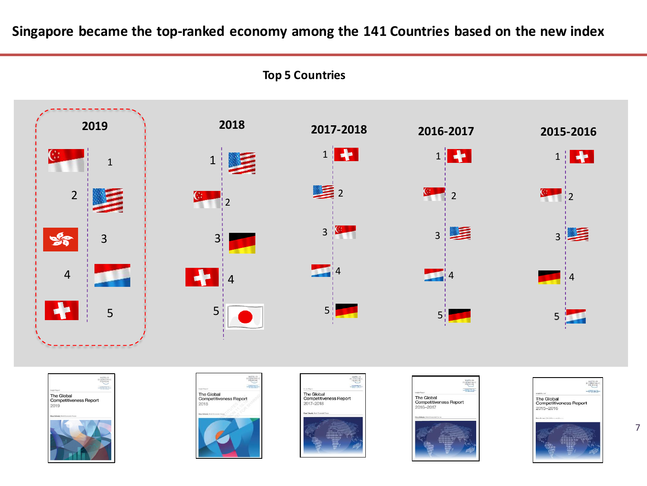**Singapore became the top-ranked economy among the 141 Countries based on the new index**













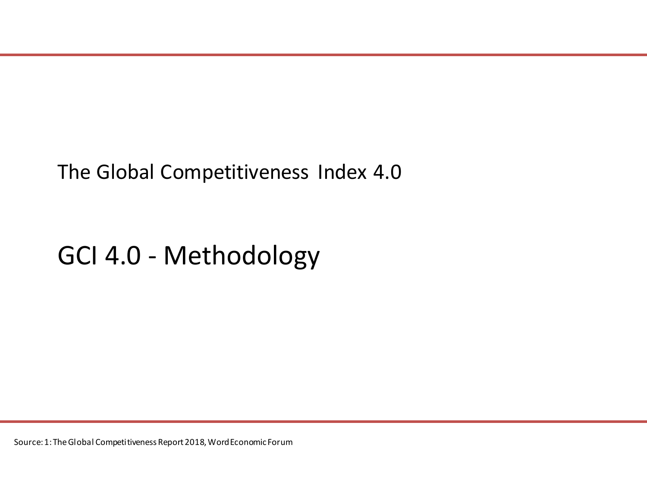# The Global Competitiveness Index 4.0

# GCI 4.0 - Methodology

Source: 1: The Global Competitiveness Report 2018, Word Economic Forum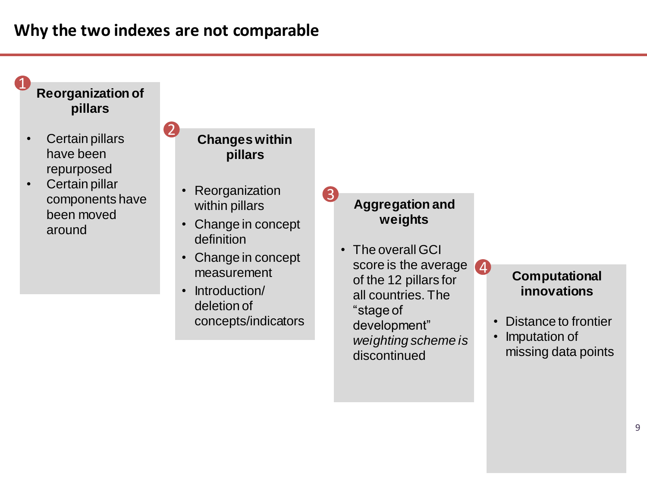# **Why the two indexes are not comparable**

2



- Certain pillars have been repurposed
- Certain pillar components have been moved around

#### **Changes within pillars**

- **Reorganization** within pillars
- Change in concept definition
- Change in concept measurement
- Introduction/ deletion of concepts/indicators

#### **Aggregation and weights**

3

• The overall GCI score is the average of the 12 pillars for all countries. The "stage of development" *weighting scheme is*  discontinued 4

#### **Computational innovations**

- Distance to frontier
- Imputation of missing data points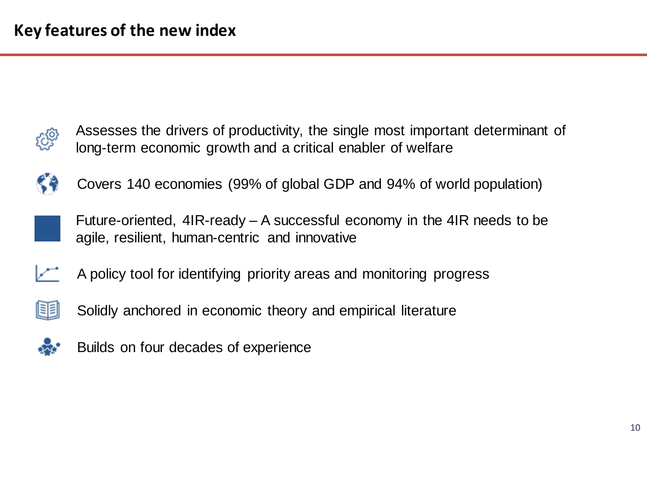

Assesses the drivers of productivity, the single most important determinant of long-term economic growth and a critical enabler of welfare



Covers 140 economies (99% of global GDP and 94% of world population)



Future-oriented, 4IR-ready – A successful economy in the 4IR needs to be agile, resilient, human-centric and innovative



A policy tool for identifying priority areas and monitoring progress



Solidly anchored in economic theory and empirical literature



Builds on four decades of experience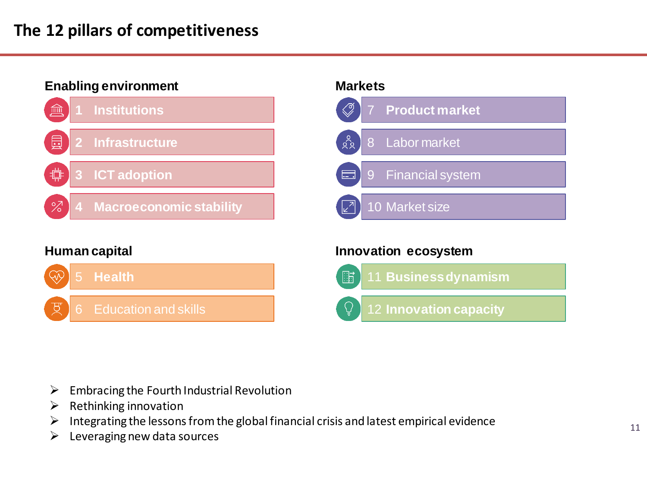# **The 12 pillars of competitiveness**



#### **Human capital**



#### **Markets**



#### **Innovation ecosystem**



- $\triangleright$  Embracing the Fourth Industrial Revolution
- $\triangleright$  Rethinking innovation
- $\triangleright$  Integrating the lessons from the global financial crisis and latest empirical evidence
- $\blacktriangleright$  Leveraging new data sources